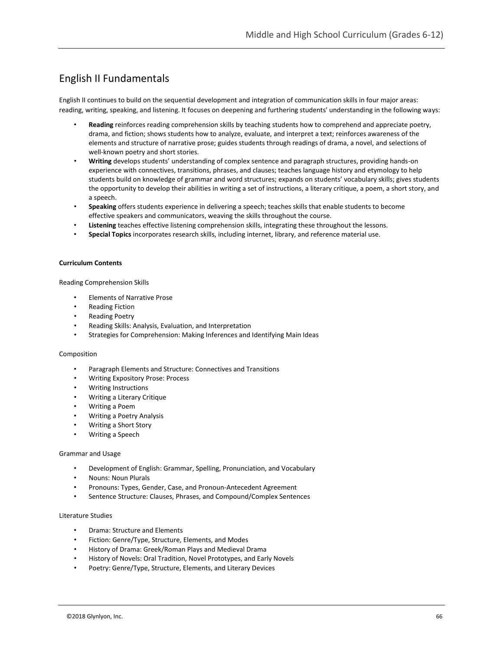# English II Fundamentals

English II continues to build on the sequential development and integration of communication skills in four major areas: reading, writing, speaking, and listening. It focuses on deepening and furthering students' understanding in the following ways:

- **Reading** reinforces reading comprehension skills by teaching students how to comprehend and appreciate poetry, drama, and fiction; shows students how to analyze, evaluate, and interpret a text; reinforces awareness of the elements and structure of narrative prose; guides students through readings of drama, a novel, and selections of well-known poetry and short stories.
- **Writing** develops students' understanding of complex sentence and paragraph structures, providing hands-on experience with connectives, transitions, phrases, and clauses; teaches language history and etymology to help students build on knowledge of grammar and word structures; expands on students' vocabulary skills; gives students the opportunity to develop their abilities in writing a set of instructions, a literary critique, a poem, a short story, and a speech.
- **Speaking** offers students experience in delivering a speech; teaches skills that enable students to become effective speakers and communicators, weaving the skills throughout the course.
- **Listening** teaches effective listening comprehension skills, integrating these throughout the lessons.
- **Special Topics** incorporates research skills, including internet, library, and reference material use.

#### **Curriculum Contents**

Reading Comprehension Skills

- Elements of Narrative Prose
- Reading Fiction
- Reading Poetry
- Reading Skills: Analysis, Evaluation, and Interpretation
- Strategies for Comprehension: Making Inferences and Identifying Main Ideas

#### Composition

- Paragraph Elements and Structure: Connectives and Transitions
- Writing Expository Prose: Process
- Writing Instructions
- Writing a Literary Critique
- Writing a Poem
- Writing a Poetry Analysis
- Writing a Short Story
- Writing a Speech

#### Grammar and Usage

- Development of English: Grammar, Spelling, Pronunciation, and Vocabulary
- Nouns: Noun Plurals
- Pronouns: Types, Gender, Case, and Pronoun-Antecedent Agreement
- Sentence Structure: Clauses, Phrases, and Compound/Complex Sentences

#### Literature Studies

- Drama: Structure and Elements
- Fiction: Genre/Type, Structure, Elements, and Modes
- History of Drama: Greek/Roman Plays and Medieval Drama
- History of Novels: Oral Tradition, Novel Prototypes, and Early Novels
- Poetry: Genre/Type, Structure, Elements, and Literary Devices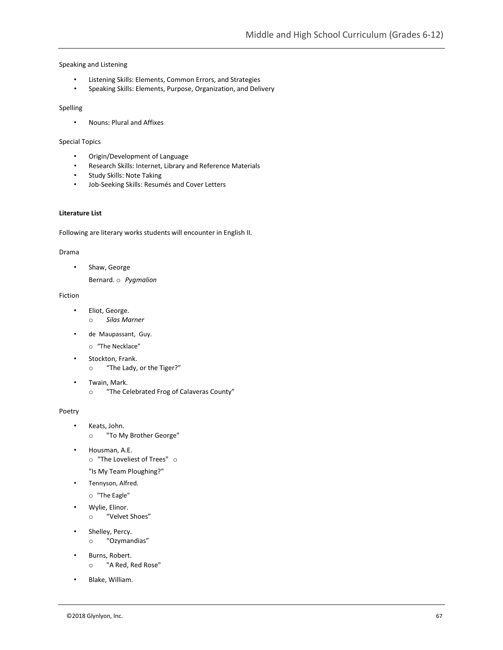#### Speaking and Listening

- Listening Skills: Elements, Common Errors, and Strategies
- Speaking Skills: Elements, Purpose, Organization, and Delivery

#### Spelling

• Nouns: Plural and Affixes

#### Special Topics

- Origin/Development of Language
- Research Skills: Internet, Library and Reference Materials
- Study Skills: Note Taking
- Job-Seeking Skills: Resumés and Cover Letters

### **Literature List**

Following are literary works students will encounter in English II.

#### Drama

• Shaw, George

Bernard. o *Pygmalion*

#### Fiction

- Eliot, George. o *Silas Marner*
- de Maupassant, Guy.
	- o "The Necklace"
- Stockton, Frank. o "The Lady, or the Tiger?"
- Twain, Mark.
	- o "The Celebrated Frog of Calaveras County"

#### Poetry

- Keats, John.
	- o "To My Brother George"
- Housman, A.E. o "The Loveliest of Trees" o "Is My Team Ploughing?"
- Tennyson, Alfred.
	- o "The Eagle"
	- Wylie, Elinor.
		- o "Velvet Shoes"
- Shelley, Percy.
	- o "Ozymandias"
- Burns, Robert. o "A Red, Red Rose"
- Blake, William.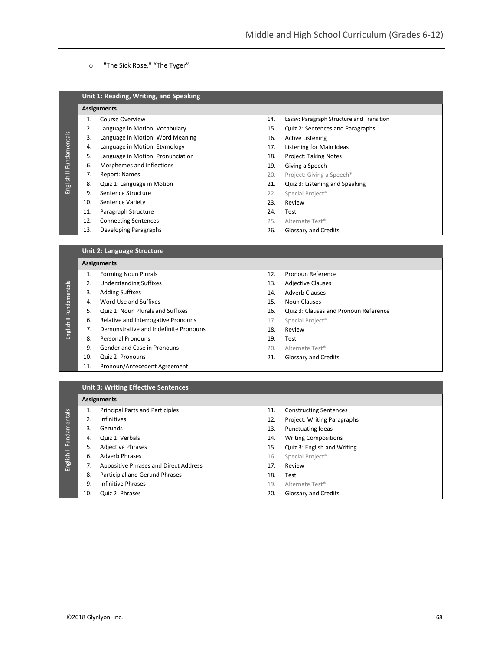### o "The Sick Rose," "The Tyger"

|     | <b>Assignments</b>                |     |                                           |
|-----|-----------------------------------|-----|-------------------------------------------|
|     | Course Overview                   | 14. | Essay: Paragraph Structure and Transition |
| 2.  | Language in Motion: Vocabulary    | 15. | Quiz 2: Sentences and Paragraphs          |
| 3.  | Language in Motion: Word Meaning  | 16. | Active Listening                          |
| 4.  | Language in Motion: Etymology     | 17. | Listening for Main Ideas                  |
| 5.  | Language in Motion: Pronunciation | 18. | <b>Project: Taking Notes</b>              |
| 6.  | Morphemes and Inflections         | 19. | Giving a Speech                           |
| 7.  | Report: Names                     | 20. | Project: Giving a Speech*                 |
| 8.  | Quiz 1: Language in Motion        | 21. | Quiz 3: Listening and Speaking            |
| 9.  | Sentence Structure                | 22. | Special Project*                          |
| 10. | <b>Sentence Variety</b>           | 23. | Review                                    |
| 11. | Paragraph Structure               | 24. | Test                                      |
| 12. | <b>Connecting Sentences</b>       | 25. | Alternate Test*                           |
| 13. | Developing Paragraphs             | 26. | Glossary and Credits                      |

#### **Unit 2: Language Structure**

|              |     | <b>Assignments</b>                    |     |                                       |
|--------------|-----|---------------------------------------|-----|---------------------------------------|
|              | 1.  | <b>Forming Noun Plurals</b>           | 12. | Pronoun Reference                     |
|              | 2.  | <b>Understanding Suffixes</b>         | 13. | <b>Adjective Clauses</b>              |
|              | 3.  | <b>Adding Suffixes</b>                | 14. | <b>Adverb Clauses</b>                 |
| Fundamentals | 4.  | Word Use and Suffixes                 | 15. | Noun Clauses                          |
|              | 5.  | Quiz 1: Noun Plurals and Suffixes     | 16. | Quiz 3: Clauses and Pronoun Reference |
|              | 6.  | Relative and Interrogative Pronouns   | 17. | Special Project*                      |
| English II   | 7.  | Demonstrative and Indefinite Pronouns | 18. | Review                                |
|              | 8.  | <b>Personal Pronouns</b>              | 19. | Test                                  |
|              | 9.  | Gender and Case in Pronouns           | 20. | Alternate Test*                       |
|              | 10. | Quiz 2: Pronouns                      | 21. | Glossary and Credits                  |
|              | 11. | Pronoun/Antecedent Agreement          |     |                                       |

11. Constructing Sentences 12. Project: Writing Paragraphs

### **Unit 3: Writing Effective Sentences**

## **Assignments** 1. Principal Parts and Participles 2. Infinitives

English II Fundamentals English II Fundamentals 3. Gerunds 13. Punctuating Ideas 4. Quiz 1: Verbals 14. Writing Compositions 5. Adjective Phrases 15. Quiz 3: English and Writing 6. Adverb Phrases 16. Special Project\* 7. Appositive Phrases and Direct Address 17. Review 8. Participial and Gerund Phrases 18. Test 9. Infinitive Phrases 19. Alternate Test\* 10. Quiz 2: Phrases 20. Glossary and Credits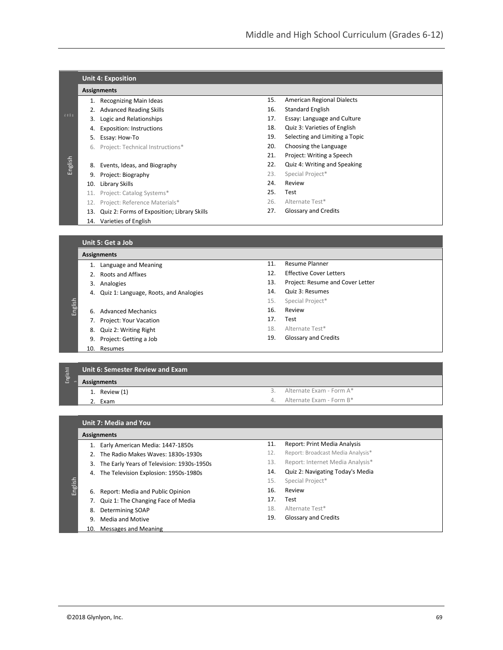|             |     | <b>Unit 4: Exposition</b>                   |     |                                |
|-------------|-----|---------------------------------------------|-----|--------------------------------|
|             |     | <b>Assignments</b>                          |     |                                |
|             |     | 1. Recognizing Main Ideas                   | 15. | American Regional Dialects     |
|             | 2.  | <b>Advanced Reading Skills</b>              | 16. | Standard English               |
| <b>SEES</b> | 3.  | Logic and Relationships                     | 17. | Essay: Language and Culture    |
|             | 4.  | <b>Exposition: Instructions</b>             | 18. | Quiz 3: Varieties of English   |
|             | 5.  | Essay: How-To                               | 19. | Selecting and Limiting a Topic |
|             | 6.  | Project: Technical Instructions*            | 20. | Choosing the Language          |
|             |     |                                             | 21. | Project: Writing a Speech      |
| English     | 8.  | Events, Ideas, and Biography                | 22. | Quiz 4: Writing and Speaking   |
|             | 9.  | Project: Biography                          | 23. | Special Project*               |
|             | 10. | Library Skills                              | 24. | Review                         |
|             | 11. | Project: Catalog Systems*                   | 25. | Test                           |
|             | 12. | Project: Reference Materials*               | 26. | Alternate Test*                |
|             | 13. | Quiz 2: Forms of Exposition; Library Skills | 27. | <b>Glossary and Credits</b>    |
|             |     | 14. Varieties of English                    |     |                                |
|             |     |                                             |     |                                |
|             |     | Unit 5: Get a Job                           |     |                                |
|             |     | <b>Assignments</b>                          |     |                                |
|             | 1.  | Language and Meaning                        | 11. | <b>Resume Planner</b>          |
|             | 2.  | Roots and Affixes                           | 12. | <b>Effective Cover Letters</b> |

- 
- 3. Analogies
- 
- 4. Quiz 1: Language, Roots, and Analogies
- 
- 6. Advanced Mechanics 7. Project: Your Vacation
- 8. Quiz 2: Writing Right
- 9. Project: Getting a Job
- 10. Resumes
- 13. Project: Resume and Cover Letter
- 14. Quiz 3: Resumes
- 15. Special Project\*
- 16. Review
- 17. Test
- 18. Alternate Test\*
- 19. Glossary and Credits

#### **Unit 6: Semester Review and Exam**

EnglishII

English

English

- **Assignments**
	- 1. Review (1) 2. Exam
- 3. Alternate Exam Form A\*
- 4. Alternate Exam Form B\*

#### **Unit 7: Media and You**

#### **Assignments**

- 1. Early American Media: 1447-1850s
- 2. The Radio Makes Waves: 1830s-1930s
- 3. The Early Years of Television: 1930s-1950s
- 4. The Television Explosion: 1950s-1980s
- 
- 6. Report: Media and Public Opinion
- 7. Quiz 1: The Changing Face of Media
	- 8. Determining SOAP
	- 9. Media and Motive
- 10. Messages and Meaning
- 11. Report: Print Media Analysis
- 12. Report: Broadcast Media Analysis\*
- 13. Report: Internet Media Analysis\*
- 14. Quiz 2: Navigating Today's Media
- 15. Special Project\*
- 16. Review
- 17. Test
- 18. Alternate Test\*
- 19. Glossary and Credits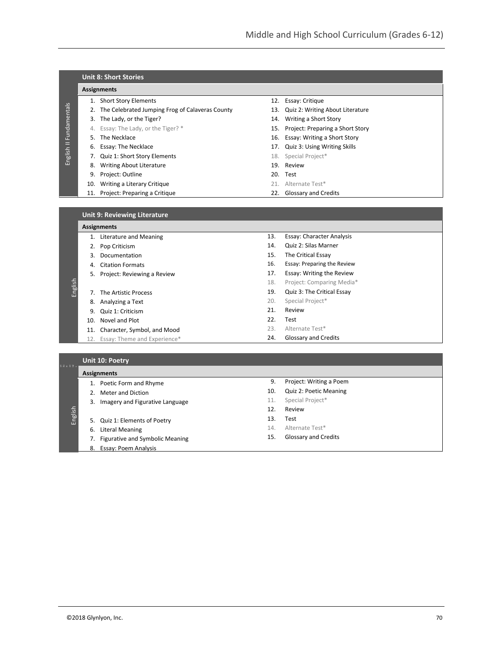|              | <b>Unit 8: Short Stories</b> |                                                    |  |                                      |  |  |  |  |
|--------------|------------------------------|----------------------------------------------------|--|--------------------------------------|--|--|--|--|
|              |                              | <b>Assignments</b>                                 |  |                                      |  |  |  |  |
|              |                              | <b>Short Story Elements</b>                        |  | 12. Essay: Critique                  |  |  |  |  |
|              |                              | 2. The Celebrated Jumping Frog of Calaveras County |  | 13. Quiz 2: Writing About Literature |  |  |  |  |
| Fundamentals |                              | 3. The Lady, or the Tiger?                         |  | 14. Writing a Short Story            |  |  |  |  |
|              |                              | 4. Essay: The Lady, or the Tiger? *                |  | 15. Project: Preparing a Short Story |  |  |  |  |
|              | 5.                           | The Necklace                                       |  | 16. Essay: Writing a Short Story     |  |  |  |  |
| Ξ            |                              | 6. Essay: The Necklace                             |  | 17. Quiz 3: Using Writing Skills     |  |  |  |  |
| English      |                              | 7. Quiz 1: Short Story Elements                    |  | 18. Special Project*                 |  |  |  |  |
|              | 8.                           | Writing About Literature                           |  | 19. Review                           |  |  |  |  |
|              | 9.                           | Project: Outline                                   |  | 20. Test                             |  |  |  |  |
|              |                              | 10. Writing a Literary Critique                    |  | 21. Alternate Test*                  |  |  |  |  |
|              |                              | 11. Project: Preparing a Critique                  |  | 22. Glossary and Credits             |  |  |  |  |

| Unit 9: Reviewing Literature, |  |
|-------------------------------|--|
| <b>Assignments</b>            |  |

|         |     | мээндшисикэ                      |     |                             |
|---------|-----|----------------------------------|-----|-----------------------------|
|         |     | Literature and Meaning           | 13. | Essay: Character Analysis   |
|         | 2.  | Pop Criticism                    | 14. | Quiz 2: Silas Marner        |
|         | 3.  | Documentation                    | 15. | The Critical Essay          |
|         | 4.  | <b>Citation Formats</b>          | 16. | Essay: Preparing the Review |
|         |     | 5. Project: Reviewing a Review   | 17. | Essay: Writing the Review   |
|         |     |                                  | 18. | Project: Comparing Media*   |
| English |     | The Artistic Process             | 19. | Quiz 3: The Critical Essay  |
|         |     | 8. Analyzing a Text              | 20. | Special Project*            |
|         | 9.  | Quiz 1: Criticism                | 21. | Review                      |
|         | 10. | Novel and Plot                   | 22. | Test                        |
|         | 11. | Character, Symbol, and Mood      | 23. | Alternate Test*             |
|         |     | 12. Essay: Theme and Experience* | 24. | Glossary and Credits        |

## **Unit 10: Poetry**

| 5 8 E 5 B | <b>Assignments</b>                    |     |                             |  |  |  |
|-----------|---------------------------------------|-----|-----------------------------|--|--|--|
|           | Poetic Form and Rhyme                 | 9.  | Project: Writing a Poem     |  |  |  |
|           | Meter and Diction                     | 10. | Quiz 2: Poetic Meaning      |  |  |  |
|           | Imagery and Figurative Language<br>3. | 11. | Special Project*            |  |  |  |
|           |                                       | 12. | Review                      |  |  |  |
| English   | 5. Quiz 1: Elements of Poetry         | 13. | Test                        |  |  |  |
|           | <b>Literal Meaning</b><br>6.          | 14. | Alternate Test*             |  |  |  |
|           | Figurative and Symbolic Meaning       | 15. | <b>Glossary and Credits</b> |  |  |  |
|           | Essay: Poem Analysis<br>8.            |     |                             |  |  |  |